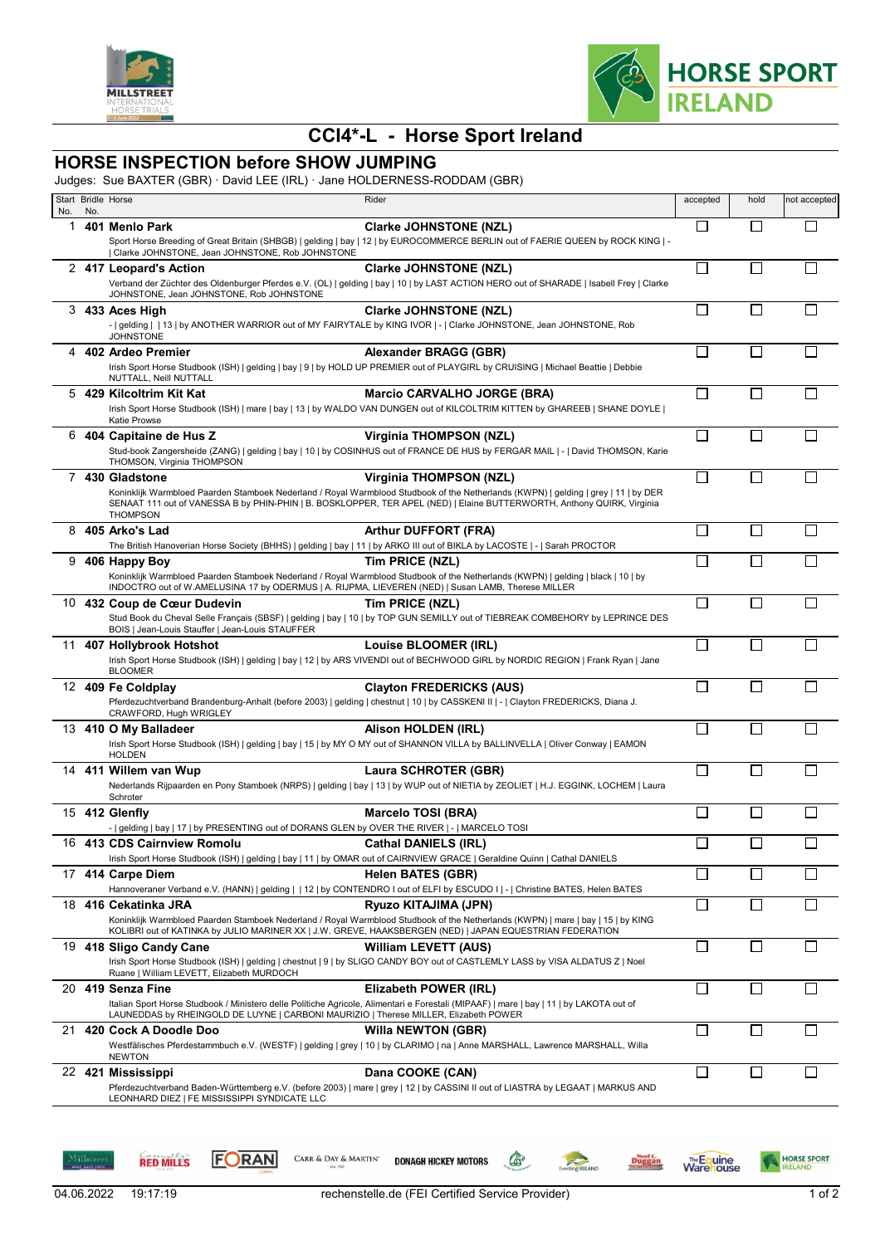



## **CCI4\*-L - Horse Sport Ireland**

## **HORSE INSPECTION before SHOW JUMPING**

Judges: Sue BAXTER (GBR) · David LEE (IRL) · Jane HOLDERNESS-RODDAM (GBR)

|          |     | Start Bridle Horse                                                                                               | Rider                                                                                                                                                                                                                                                                | accepted     | hold                        | not accepted |
|----------|-----|------------------------------------------------------------------------------------------------------------------|----------------------------------------------------------------------------------------------------------------------------------------------------------------------------------------------------------------------------------------------------------------------|--------------|-----------------------------|--------------|
| No.<br>1 | No. | 401 Menlo Park                                                                                                   | <b>Clarke JOHNSTONE (NZL)</b>                                                                                                                                                                                                                                        |              | L                           |              |
|          |     | Clarke JOHNSTONE, Jean JOHNSTONE, Rob JOHNSTONE                                                                  | Sport Horse Breeding of Great Britain (SHBGB)   gelding   bay   12   by EUROCOMMERCE BERLIN out of FAERIE QUEEN by ROCK KING   -                                                                                                                                     |              |                             |              |
|          |     | 2 417 Leopard's Action                                                                                           | <b>Clarke JOHNSTONE (NZL)</b>                                                                                                                                                                                                                                        | П            | $\Box$                      |              |
|          |     | JOHNSTONE, Jean JOHNSTONE, Rob JOHNSTONE                                                                         | Verband der Züchter des Oldenburger Pferdes e.V. (OL)   gelding   bay   10   by LAST ACTION HERO out of SHARADE   Isabell Frey   Clarke                                                                                                                              |              |                             |              |
|          |     | 3 433 Aces High                                                                                                  | <b>Clarke JOHNSTONE (NZL)</b><br>-   gelding     13   by ANOTHER WARRIOR out of MY FAIRYTALE by KING IVOR   -   Clarke JOHNSTONE, Jean JOHNSTONE, Rob                                                                                                                |              |                             |              |
| 4        |     | <b>JOHNSTONE</b><br>402 Ardeo Premier                                                                            | Alexander BRAGG (GBR)                                                                                                                                                                                                                                                | $\Box$       | $\mathbb{R}^n$              |              |
|          |     | NUTTALL, Neill NUTTALL                                                                                           | Irish Sport Horse Studbook (ISH)   gelding   bay   9   by HOLD UP PREMIER out of PLAYGIRL by CRUISING   Michael Beattie   Debbie                                                                                                                                     |              |                             |              |
| 5        |     | 429 Kilcoltrim Kit Kat<br>Katie Prowse                                                                           | <b>Marcio CARVALHO JORGE (BRA)</b><br>Irish Sport Horse Studbook (ISH)   mare   bay   13   by WALDO VAN DUNGEN out of KILCOLTRIM KITTEN by GHAREEB   SHANE DOYLE                                                                                                     |              |                             |              |
|          |     | 6 404 Capitaine de Hus Z                                                                                         | <b>Virginia THOMPSON (NZL)</b>                                                                                                                                                                                                                                       | $\Box$       |                             |              |
|          |     | THOMSON, Virginia THOMPSON                                                                                       | Stud-book Zangersheide (ZANG)   gelding   bay   10   by COSINHUS out of FRANCE DE HUS by FERGAR MAIL   -   David THOMSON, Karie                                                                                                                                      |              |                             |              |
|          |     | 7 430 Gladstone                                                                                                  | <b>Virginia THOMPSON (NZL)</b>                                                                                                                                                                                                                                       | П            | П                           |              |
|          |     | <b>THOMPSON</b>                                                                                                  | Koninklijk Warmbloed Paarden Stamboek Nederland / Royal Warmblood Studbook of the Netherlands (KWPN)   gelding   grey   11   by DER<br>SENAAT 111 out of VANESSA B by PHIN-PHIN   B. BOSKLOPPER, TER APEL (NED)   Elaine BUTTERWORTH, Anthony QUIRK, Virginia        |              |                             |              |
|          |     | 8 405 Arko's Lad                                                                                                 | <b>Arthur DUFFORT (FRA)</b><br>The British Hanoverian Horse Society (BHHS)   gelding   bay   11   by ARKO III out of BIKLA by LACOSTE   -   Sarah PROCTOR                                                                                                            | $\Box$       | $\Box$                      | П            |
| 9        |     | 406 Happy Boy                                                                                                    | Tim PRICE (NZL)                                                                                                                                                                                                                                                      | П            | $\mathsf{L}$                | $\mathsf{L}$ |
|          |     | INDOCTRO out of W.AMELUSINA 17 by ODERMUS   A. RIJPMA, LIEVEREN (NED)   Susan LAMB, Therese MILLER               | Koninklijk Warmbloed Paarden Stamboek Nederland / Royal Warmblood Studbook of the Netherlands (KWPN)   gelding   black   10   by                                                                                                                                     |              |                             |              |
|          |     | 10 432 Coup de Cœur Dudevin<br>BOIS   Jean-Louis Stauffer   Jean-Louis STAUFFER                                  | Tim PRICE (NZL)<br>Stud Book du Cheval Selle Français (SBSF)   gelding   bay   10   by TOP GUN SEMILLY out of TIEBREAK COMBEHORY by LEPRINCE DES                                                                                                                     |              |                             |              |
|          |     | 11 407 Hollybrook Hotshot<br><b>BLOOMER</b>                                                                      | <b>Louise BLOOMER (IRL)</b><br>Irish Sport Horse Studbook (ISH)   gelding   bay   12   by ARS VIVENDI out of BECHWOOD GIRL by NORDIC REGION   Frank Ryan   Jane                                                                                                      | П            | $\Box$                      |              |
|          |     | 12 409 Fe Coldplay<br>CRAWFORD, Hugh WRIGLEY                                                                     | <b>Clayton FREDERICKS (AUS)</b><br>Pferdezuchtverband Brandenburg-Anhalt (before 2003)   gelding   chestnut   10   by CASSKENI II   -   Clayton FREDERICKS, Diana J.                                                                                                 |              |                             |              |
|          |     | 13 410 O My Balladeer<br><b>HOLDEN</b>                                                                           | Alison HOLDEN (IRL)<br>Irish Sport Horse Studbook (ISH)   gelding   bay   15   by MY O MY out of SHANNON VILLA by BALLINVELLA   Oliver Conway   EAMON                                                                                                                | $\mathbf{L}$ | $\overline{\phantom{a}}$    |              |
|          |     | 14 411 Willem van Wup                                                                                            | Laura SCHROTER (GBR)                                                                                                                                                                                                                                                 |              |                             |              |
|          |     | Schroter                                                                                                         | Nederlands Rijpaarden en Pony Stamboek (NRPS)   gelding   bay   13   by WUP out of NIETIA by ZEOLIET   H.J. EGGINK, LOCHEM   Laura                                                                                                                                   |              |                             |              |
|          |     | 15 412 Glenfly<br>-   gelding   bay   17   by PRESENTING out of DORANS GLEN by OVER THE RIVER   -   MARCELO TOSI | <b>Marcelo TOSI (BRA)</b>                                                                                                                                                                                                                                            |              |                             |              |
|          |     | 16 413 CDS Cairnview Romolu                                                                                      | <b>Cathal DANIELS (IRL)</b><br>Irish Sport Horse Studbook (ISH)   gelding   bay   11   by OMAR out of CAIRNVIEW GRACE   Geraldine Quinn   Cathal DANIELS                                                                                                             |              |                             |              |
|          |     | 17 414 Carpe Diem                                                                                                | <b>Helen BATES (GBR)</b><br>Hannoveraner Verband e.V. (HANN)   gelding     12   by CONTENDRO I out of ELFI by ESCUDO I   -   Christine BATES, Helen BATES                                                                                                            |              | $\mathcal{L}$               |              |
|          |     | 18 416 Cekatinka JRA                                                                                             | Ryuzo KITAJIMA (JPN)<br>Koninklijk Warmbloed Paarden Stamboek Nederland / Royal Warmblood Studbook of the Netherlands (KWPN)   mare   bay   15   by KING<br>KOLIBRI out of KATINKA by JULIO MARINER XX   J.W. GREVE, HAAKSBERGEN (NED)   JAPAN EQUESTRIAN FEDERATION | $\Box$       | $\mathcal{L}$               |              |
|          |     | 19 418 Sligo Candy Cane<br>Ruane   William LEVETT, Elizabeth MURDOCH                                             | <b>William LEVETT (AUS)</b><br>Irish Sport Horse Studbook (ISH)   gelding   chestnut   9   by SLIGO CANDY BOY out of CASTLEMLY LASS by VISA ALDATUS Z   Noel                                                                                                         | $\Box$       | $\mathcal{L}_{\mathcal{A}}$ | ΙI           |
|          |     | 20 419 Senza Fine                                                                                                | Elizabeth POWER (IRL)<br>Italian Sport Horse Studbook / Ministero delle Politiche Agricole, Alimentari e Forestali (MIPAAF)   mare   bay   11   by LAKOTA out of                                                                                                     |              |                             |              |
|          |     | LAUNEDDAS by RHEINGOLD DE LUYNE   CARBONI MAURIZIO   Therese MILLER, Elizabeth POWER<br>21 420 Cock A Doodle Doo | <b>Willa NEWTON (GBR)</b><br>Westfälisches Pferdestammbuch e.V. (WESTF)   gelding   grey   10   by CLARIMO   na   Anne MARSHALL, Lawrence MARSHALL, Willa                                                                                                            | $\Box$       | $\mathcal{L}$               |              |
|          |     | <b>NEWTON</b><br>22 421 Mississippi                                                                              | Dana COOKE (CAN)                                                                                                                                                                                                                                                     |              |                             |              |
|          |     | LEONHARD DIEZ   FE MISSISSIPPI SYNDICATE LLC                                                                     | Pferdezuchtverband Baden-Württemberg e.V. (before 2003)   mare   grey   12   by CASSINI II out of LIASTRA by LEGAAT   MARKUS AND                                                                                                                                     |              |                             |              |



Millstr

**RED MILLS** 

**FORAN** 

CARR & DAY & MARTIN'

**DONAGH HICKEY MOTORS** 

**Executing RELAND** 

**Duggan** 

**Warehouse** 

 $\bullet$ 

HORSE SPORT